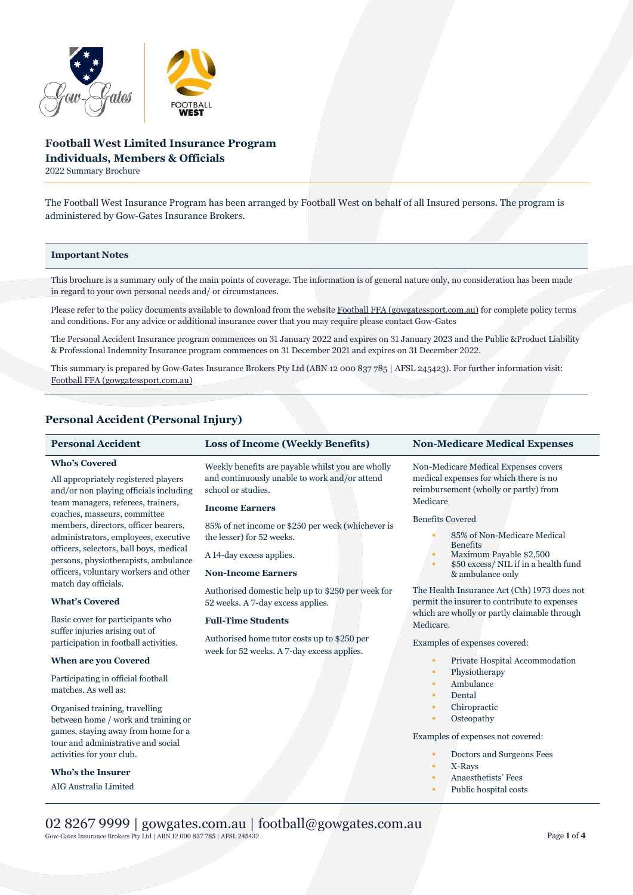

# **Football West Limited Insurance Program Individuals, Members & Officials**

2022 Summary Brochure

The Football West Insurance Program has been arranged by Football West on behalf of all Insured persons. The program is administered by Gow-Gates Insurance Brokers.

### **Important Notes**

This brochure is a summary only of the main points of coverage. The information is of general nature only, no consideration has been made in regard to your own personal needs and/ or circumstances.

Please refer to the policy documents available to download from the websit[e Football FFA \(gowgatessport.com.au\)](https://football.gowgatessport.com.au/) for complete policy terms and conditions. For any advice or additional insurance cover that you may require please contact Gow-Gates

The Personal Accident Insurance program commences on 31 January 2022 and expires on 31 January 2023 and the Public &Product Liability & Professional Indemnity Insurance program commences on 31 December 2021 and expires on 31 December 2022.

This summary is prepared by Gow-Gates Insurance Brokers Pty Ltd (ABN 12 000 837 785 | AFSL 245423). For further information visit: [Football FFA \(gowgatessport.com.au\)](https://football.gowgatessport.com.au/)

## **Personal Accident (Personal Injury)**

## **Who's Covered**

All appropriately registered players and/or non playing officials including team managers, referees, trainers, coaches, masseurs, committee members, directors, officer bearers, administrators, employees, executive officers, selectors, ball boys, medical persons, physiotherapists, ambulance officers, voluntary workers and other match day officials.

#### **What's Covered**

Basic cover for participants who suffer injuries arising out of participation in football activities.

### **When are you Covered**

Participating in official football matches. As well as:

Organised training, travelling between home / work and training or games, staying away from home for a tour and administrative and social activities for your club.

## **Who's the Insurer**

AIG Australia Limited

Weekly benefits are payable whilst you are wholly and continuously unable to work and/or attend school or studies.

### **Income Earners**

85% of net income or \$250 per week (whichever is the lesser) for 52 weeks.

A 14-day excess applies.

#### **Non-Income Earners**

Authorised domestic help up to \$250 per week for 52 weeks. A 7-day excess applies.

## **Full-Time Students**

Authorised home tutor costs up to \$250 per week for 52 weeks. A 7-day excess applies.

## **Personal Accident Loss of Income (Weekly Benefits) Non-Medicare Medical Expenses**

Non-Medicare Medical Expenses covers medical expenses for which there is no reimbursement (wholly or partly) from Medicare

### Benefits Covered

- 85% of Non-Medicare Medical Benefits
- Maximum Payable \$2,500
- \$50 excess/ NIL if in a health fund & ambulance only

The Health Insurance Act (Cth) 1973 does not permit the insurer to contribute to expenses which are wholly or partly claimable through Medicare.

Examples of expenses covered:

- Private Hospital Accommodation
- Physiotherapy
- Ambulance
- Dental
- Chiropractic
- **Osteopathy**

Examples of expenses not covered:

- Doctors and Surgeons Fees
- X-Rays
- Anaesthetists' Fees
- Public hospital costs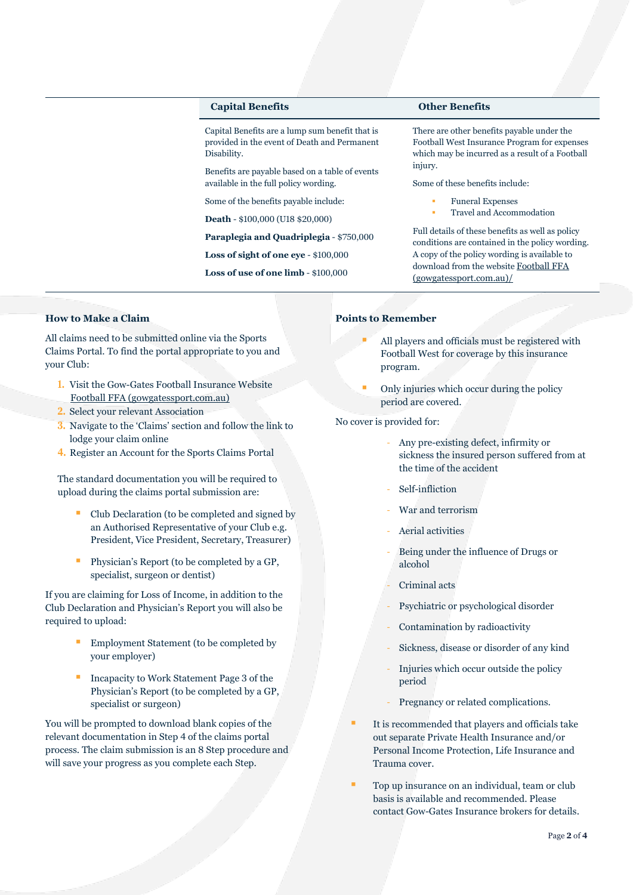## **Capital Benefits Other Benefits**

Capital Benefits are a lump sum benefit that is provided in the event of Death and Permanent Disability.

Benefits are payable based on a table of events available in the full policy wording.

Some of the benefits payable include:

**Death** - \$100,000 (U18 \$20,000)

**Paraplegia and Quadriplegia** - \$750,000

**Loss of sight of one eye** - \$100,000

**Loss of use of one limb** - \$100,000

There are other benefits payable under the Football West Insurance Program for expenses which may be incurred as a result of a Football injury.

Some of these benefits include:

- Funeral Expenses
- Travel and Accommodation

Full details of these benefits as well as policy conditions are contained in the policy wording. A copy of the policy wording is available to download from the website [Football FFA](https://football.gowgatessport.com.au/)  [\(gowgatessport.com.au\)/](https://football.gowgatessport.com.au/)

## **How to Make a Claim**

All claims need to be submitted online via the Sports Claims Portal. To find the portal appropriate to you and your Club:

- **1.** Visit the Gow-Gates Football Insurance Website [Football FFA \(gowgatessport.com.au\)](https://football.gowgatessport.com.au/)
- **2.** Select your relevant Association
- **3.** Navigate to the 'Claims' section and follow the link to lodge your claim online
- **4.** Register an Account for the Sports Claims Portal

The standard documentation you will be required to upload during the claims portal submission are:

- Club Declaration (to be completed and signed by an Authorised Representative of your Club e.g. President, Vice President, Secretary, Treasurer)
- **Physician's Report (to be completed by a GP,** specialist, surgeon or dentist)

If you are claiming for Loss of Income, in addition to the Club Declaration and Physician's Report you will also be required to upload:

- Employment Statement (to be completed by your employer)
- Incapacity to Work Statement Page 3 of the Physician's Report (to be completed by a GP, specialist or surgeon)

You will be prompted to download blank copies of the relevant documentation in Step 4 of the claims portal process. The claim submission is an 8 Step procedure and will save your progress as you complete each Step.

#### **Points to Remember**

- All players and officials must be registered with Football West for coverage by this insurance program.
- Only injuries which occur during the policy period are covered.

No cover is provided for:

- Any pre-existing defect, infirmity or sickness the insured person suffered from at the time of the accident
- Self-infliction
- War and terrorism
- Aerial activities
- Being under the influence of Drugs or alcohol
- Criminal acts
- Psychiatric or psychological disorder
- Contamination by radioactivity
- Sickness, disease or disorder of any kind
- Injuries which occur outside the policy period
- Pregnancy or related complications.
- It is recommended that players and officials take out separate Private Health Insurance and/or Personal Income Protection, Life Insurance and Trauma cover.
- Top up insurance on an individual, team or club basis is available and recommended. Please contact Gow-Gates Insurance brokers for details.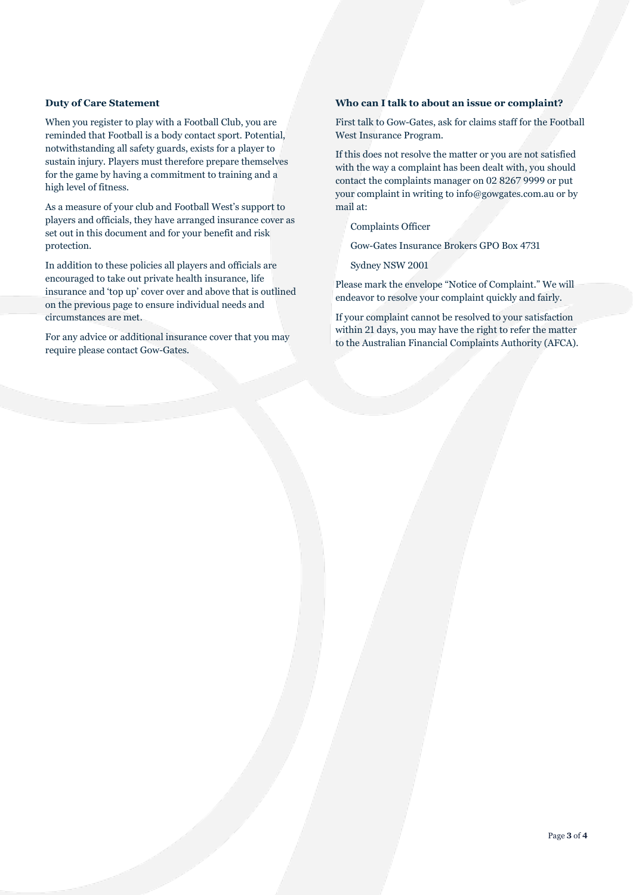## **Duty of Care Statement**

When you register to play with a Football Club, you are reminded that Football is a body contact sport. Potential, notwithstanding all safety guards, exists for a player to sustain injury. Players must therefore prepare themselves for the game by having a commitment to training and a high level of fitness.

As a measure of your club and Football West's support to players and officials, they have arranged insurance cover as set out in this document and for your benefit and risk protection.

In addition to these policies all players and officials are encouraged to take out private health insurance, life insurance and 'top up' cover over and above that is outlined on the previous page to ensure individual needs and circumstances are met.

For any advice or additional insurance cover that you may require please contact Gow-Gates.

## **Who can I talk to about an issue or complaint?**

First talk to Gow-Gates, ask for claims staff for the Football West Insurance Program.

If this does not resolve the matter or you are not satisfied with the way a complaint has been dealt with, you should contact the complaints manager on 02 8267 9999 or put your complaint in writing to info@gowgates.com.au or by mail at:

Complaints Officer

Gow-Gates Insurance Brokers GPO Box 4731

Sydney NSW 2001

Please mark the envelope "Notice of Complaint." We will endeavor to resolve your complaint quickly and fairly.

If your complaint cannot be resolved to your satisfaction within 21 days, you may have the right to refer the matter to the Australian Financial Complaints Authority (AFCA).